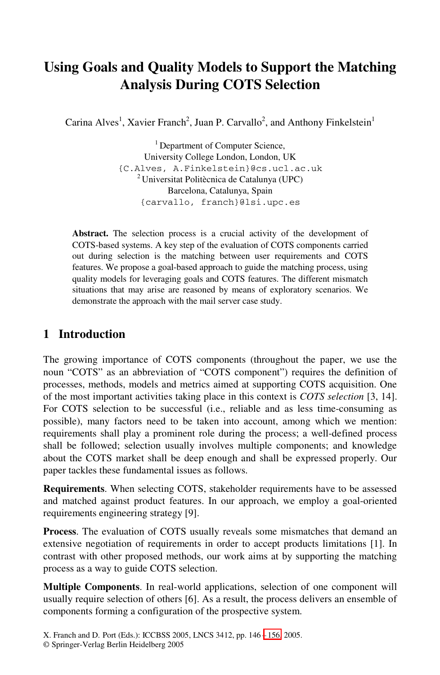# **Using Goals and Quality Models to Support the Matching Analysis During COTS Selection**

Carina Alves<sup>1</sup>, Xavier Franch<sup>2</sup>, Juan P. Carvallo<sup>2</sup>, and Anthony Finkelstein<sup>1</sup>

<sup>1</sup> Department of Computer Science, University College London, London, UK {C.Alves, A.Finkelstein}@cs.ucl.ac.uk 2 Universitat Politècnica de Catalunya (UPC) Barcelona, Catalunya, Spain {carvallo, franch}@lsi.upc.es

**Abstract.** The selection process is a crucial activity of the development of COTS-based systems. A key step of the evaluation of COTS components carried out during selection is the matching between user requirements and COTS features. We propose a goal-based approach to guide the matching process, using quality models for leveraging goals and COTS features. The different mismatch situations that may arise are reasoned by means of exploratory scenarios. We demonstrate the approach with the mail server case study.

## **1 Introduction**

The growing importance of COTS components (throughout the paper, we use the noun "COTS" as an abbreviation of "COTS component") requires the definition of processes, methods, models and metrics aimed at supporting COTS acquisition. One of the most important activities taking place in this context is *COTS selection* [3, 14]. For COTS selection to be successful (i.e., reliable and as less time-consuming as possible), many factors need to be taken into account, among which we mention: requirements shall play a prominent role during the process; a well-defined process shall be followed; selection usually involves multiple components; and knowledge about the COTS market shall be deep enough and shall be expressed properly. Our paper tackles these fundamental issues as follows.

**Requirements**. When selecting COTS, stakeholder requirements have to be assessed and matched against product features. In our approach, we employ a goal-oriented requirements engineering strategy [9].

**Process**. The evaluation of COTS usually reveals some mismatches that demand an extensive negotiation of requirements in order to accept products limitations [1]. In contrast with other proposed methods, our work aims at by supporting the matching process as a way to guide COTS selection.

**Multiple Components**. In real-world applications, selection of one component will usually require selection of others [6]. As a result, the process delivers an ensemble of components forming a configuration of the prospective system.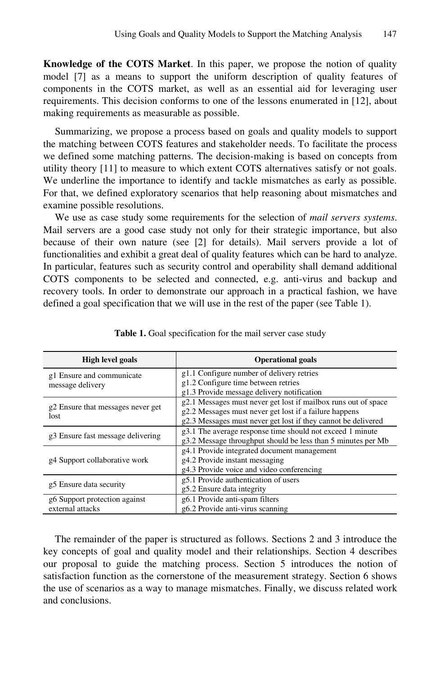**Knowledge of the COTS Market**. In this paper, we propose the notion of quality model [7] as a means to support the uniform description of quality features of components in the COTS market, as well as an essential aid for leveraging user requirements. This decision conforms to one of the lessons enumerated in [12], about making requirements as measurable as possible.

Summarizing, we propose a process based on goals and quality models to support the matching between COTS features and stakeholder needs. To facilitate the process we defined some matching patterns. The decision-making is based on concepts from utility theory [11] to measure to which extent COTS alternatives satisfy or not goals. We underline the importance to identify and tackle mismatches as early as possible. For that, we defined exploratory scenarios that help reasoning about mismatches and examine possible resolutions.

We use as case study some requirements for the selection of *mail servers systems*. Mail servers are a good case study not only for their strategic importance, but also because of their own nature (see [2] for details). Mail servers provide a lot of functionalities and exhibit a great deal of quality features which can be hard to analyze. In particular, features such as security control and operability shall demand additional COTS components to be selected and connected, e.g. anti-virus and backup and recovery tools. In order to demonstrate our approach in a practical fashion, we have defined a goal specification that we will use in the rest of the paper (see Table 1).

| <b>High level goals</b>                       | <b>Operational goals</b>                                                                                                                                                                  |  |
|-----------------------------------------------|-------------------------------------------------------------------------------------------------------------------------------------------------------------------------------------------|--|
| g1 Ensure and communicate<br>message delivery | g1.1 Configure number of delivery retries                                                                                                                                                 |  |
|                                               | g1.2 Configure time between retries<br>g1.3 Provide message delivery notification                                                                                                         |  |
| g2 Ensure that messages never get<br>lost     | g2.1 Messages must never get lost if mailbox runs out of space<br>g2.2 Messages must never get lost if a failure happens<br>g2.3 Messages must never get lost if they cannot be delivered |  |
| g3 Ensure fast message delivering             | g3.1 The average response time should not exceed 1 minute<br>g3.2 Message throughput should be less than 5 minutes per Mb                                                                 |  |
| g4 Support collaborative work                 | g4.1 Provide integrated document management<br>g4.2 Provide instant messaging<br>g4.3 Provide voice and video conferencing                                                                |  |
| g5 Ensure data security                       | g5.1 Provide authentication of users<br>g5.2 Ensure data integrity                                                                                                                        |  |
| g6 Support protection against                 | g6.1 Provide anti-spam filters                                                                                                                                                            |  |
| external attacks                              | g6.2 Provide anti-virus scanning                                                                                                                                                          |  |

**Table 1.** Goal specification for the mail server case study

The remainder of the paper is structured as follows. Sections 2 and 3 introduce the key concepts of goal and quality model and their relationships. Section 4 describes our proposal to guide the matching process. Section 5 introduces the notion of satisfaction function as the cornerstone of the measurement strategy. Section 6 shows the use of scenarios as a way to manage mismatches. Finally, we discuss related work and conclusions.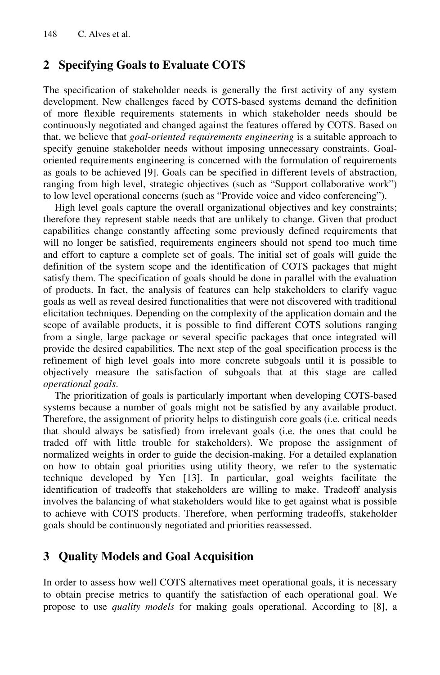#### **2 Specifying Goals to Evaluate COTS**

The specification of stakeholder needs is generally the first activity of any system development. New challenges faced by COTS-based systems demand the definition of more flexible requirements statements in which stakeholder needs should be continuously negotiated and changed against the features offered by COTS. Based on that, we believe that *goal-oriented requirements engineering* is a suitable approach to specify genuine stakeholder needs without imposing unnecessary constraints. Goaloriented requirements engineering is concerned with the formulation of requirements as goals to be achieved [9]. Goals can be specified in different levels of abstraction, ranging from high level, strategic objectives (such as "Support collaborative work") to low level operational concerns (such as "Provide voice and video conferencing").

High level goals capture the overall organizational objectives and key constraints; therefore they represent stable needs that are unlikely to change. Given that product capabilities change constantly affecting some previously defined requirements that will no longer be satisfied, requirements engineers should not spend too much time and effort to capture a complete set of goals. The initial set of goals will guide the definition of the system scope and the identification of COTS packages that might satisfy them. The specification of goals should be done in parallel with the evaluation of products. In fact, the analysis of features can help stakeholders to clarify vague goals as well as reveal desired functionalities that were not discovered with traditional elicitation techniques. Depending on the complexity of the application domain and the scope of available products, it is possible to find different COTS solutions ranging from a single, large package or several specific packages that once integrated will provide the desired capabilities. The next step of the goal specification process is the refinement of high level goals into more concrete subgoals until it is possible to objectively measure the satisfaction of subgoals that at this stage are called *operational goals*.

The prioritization of goals is particularly important when developing COTS-based systems because a number of goals might not be satisfied by any available product. Therefore, the assignment of priority helps to distinguish core goals (i.e. critical needs that should always be satisfied) from irrelevant goals (i.e. the ones that could be traded off with little trouble for stakeholders). We propose the assignment of normalized weights in order to guide the decision-making. For a detailed explanation on how to obtain goal priorities using utility theory, we refer to the systematic technique developed by Yen [13]. In particular, goal weights facilitate the identification of tradeoffs that stakeholders are willing to make. Tradeoff analysis involves the balancing of what stakeholders would like to get against what is possible to achieve with COTS products. Therefore, when performing tradeoffs, stakeholder goals should be continuously negotiated and priorities reassessed.

#### **3 Quality Models and Goal Acquisition**

In order to assess how well COTS alternatives meet operational goals, it is necessary to obtain precise metrics to quantify the satisfaction of each operational goal. We propose to use *quality models* for making goals operational. According to [8], a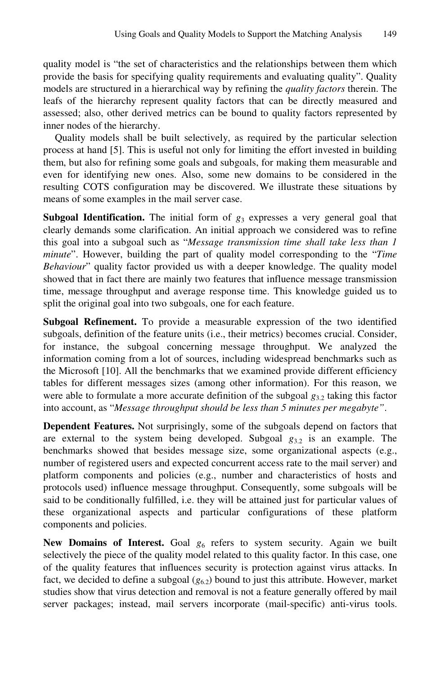quality model is "the set of characteristics and the relationships between them which provide the basis for specifying quality requirements and evaluating quality". Quality models are structured in a hierarchical way by refining the *quality factors* therein. The leafs of the hierarchy represent quality factors that can be directly measured and assessed; also, other derived metrics can be bound to quality factors represented by inner nodes of the hierarchy.

Quality models shall be built selectively, as required by the particular selection process at hand [5]. This is useful not only for limiting the effort invested in building them, but also for refining some goals and subgoals, for making them measurable and even for identifying new ones. Also, some new domains to be considered in the resulting COTS configuration may be discovered. We illustrate these situations by means of some examples in the mail server case.

**Subgoal Identification.** The initial form of  $g_3$  expresses a very general goal that clearly demands some clarification. An initial approach we considered was to refine this goal into a subgoal such as "*Message transmission time shall take less than 1 minute*". However, building the part of quality model corresponding to the "*Time Behaviour*" quality factor provided us with a deeper knowledge. The quality model showed that in fact there are mainly two features that influence message transmission time, message throughput and average response time. This knowledge guided us to split the original goal into two subgoals, one for each feature.

**Subgoal Refinement.** To provide a measurable expression of the two identified subgoals, definition of the feature units (i.e., their metrics) becomes crucial. Consider, for instance, the subgoal concerning message throughput. We analyzed the information coming from a lot of sources, including widespread benchmarks such as the Microsoft [10]. All the benchmarks that we examined provide different efficiency tables for different messages sizes (among other information). For this reason, we were able to formulate a more accurate definition of the subgoal *g*3.2 taking this factor into account, as "*Message throughput should be less than 5 minutes per megabyte"*.

**Dependent Features.** Not surprisingly, some of the subgoals depend on factors that are external to the system being developed. Subgoal *g*3.2 is an example. The benchmarks showed that besides message size, some organizational aspects (e.g., number of registered users and expected concurrent access rate to the mail server) and platform components and policies (e.g., number and characteristics of hosts and protocols used) influence message throughput. Consequently, some subgoals will be said to be conditionally fulfilled, i.e. they will be attained just for particular values of these organizational aspects and particular configurations of these platform components and policies.

New Domains of Interest. Goal  $g_6$  refers to system security. Again we built selectively the piece of the quality model related to this quality factor. In this case, one of the quality features that influences security is protection against virus attacks. In fact, we decided to define a subgoal (*g*6.2) bound to just this attribute. However, market studies show that virus detection and removal is not a feature generally offered by mail server packages; instead, mail servers incorporate (mail-specific) anti-virus tools.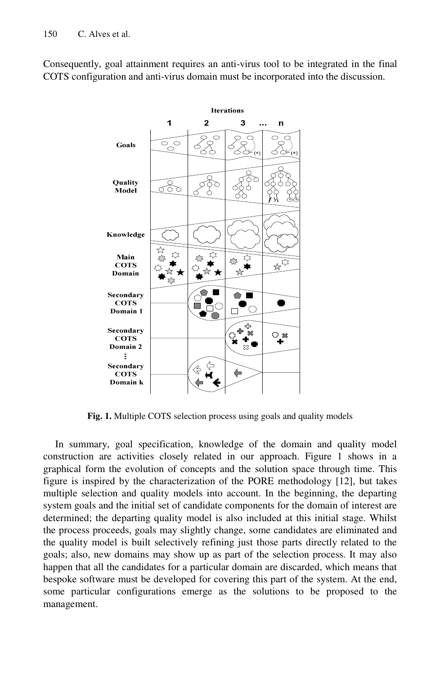Consequently, goal attainment requires an anti-virus tool to be integrated in the final COTS configuration and anti-virus domain must be incorporated into the discussion.



**Fig. 1.** Multiple COTS selection process using goals and quality models

In summary, goal specification, knowledge of the domain and quality model construction are activities closely related in our approach. Figure 1 shows in a graphical form the evolution of concepts and the solution space through time. This figure is inspired by the characterization of the PORE methodology [12], but takes multiple selection and quality models into account. In the beginning, the departing system goals and the initial set of candidate components for the domain of interest are determined; the departing quality model is also included at this initial stage. Whilst the process proceeds, goals may slightly change, some candidates are eliminated and the quality model is built selectively refining just those parts directly related to the goals; also, new domains may show up as part of the selection process. It may also happen that all the candidates for a particular domain are discarded, which means that bespoke software must be developed for covering this part of the system. At the end, some particular configurations emerge as the solutions to be proposed to the management.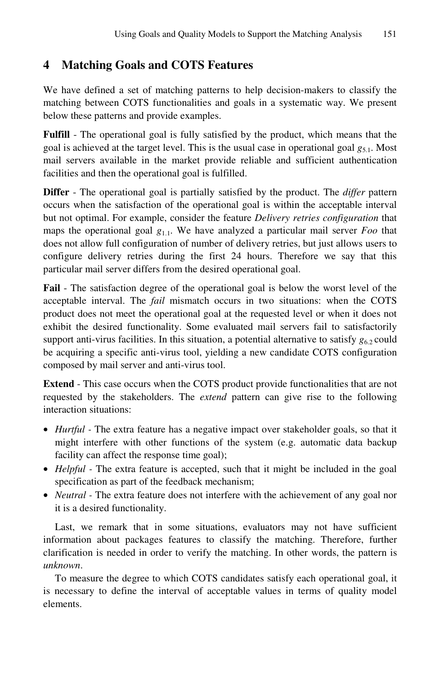## **4 Matching Goals and COTS Features**

We have defined a set of matching patterns to help decision-makers to classify the matching between COTS functionalities and goals in a systematic way. We present below these patterns and provide examples.

**Fulfill** - The operational goal is fully satisfied by the product, which means that the goal is achieved at the target level. This is the usual case in operational goal *g*5.1. Most mail servers available in the market provide reliable and sufficient authentication facilities and then the operational goal is fulfilled.

**Differ** - The operational goal is partially satisfied by the product. The *differ* pattern occurs when the satisfaction of the operational goal is within the acceptable interval but not optimal. For example, consider the feature *Delivery retries configuration* that maps the operational goal *g*1.1. We have analyzed a particular mail server *Foo* that does not allow full configuration of number of delivery retries, but just allows users to configure delivery retries during the first 24 hours. Therefore we say that this particular mail server differs from the desired operational goal.

**Fail** - The satisfaction degree of the operational goal is below the worst level of the acceptable interval. The *fail* mismatch occurs in two situations: when the COTS product does not meet the operational goal at the requested level or when it does not exhibit the desired functionality. Some evaluated mail servers fail to satisfactorily support anti-virus facilities. In this situation, a potential alternative to satisfy  $g_{6,2}$  could be acquiring a specific anti-virus tool, yielding a new candidate COTS configuration composed by mail server and anti-virus tool.

**Extend** - This case occurs when the COTS product provide functionalities that are not requested by the stakeholders. The *extend* pattern can give rise to the following interaction situations:

- *Hurtful* The extra feature has a negative impact over stakeholder goals, so that it might interfere with other functions of the system (e.g. automatic data backup facility can affect the response time goal);
- *Helpful* The extra feature is accepted, such that it might be included in the goal specification as part of the feedback mechanism;
- *Neutral* The extra feature does not interfere with the achievement of any goal nor it is a desired functionality.

Last, we remark that in some situations, evaluators may not have sufficient information about packages features to classify the matching. Therefore, further clarification is needed in order to verify the matching. In other words, the pattern is *unknown*.

To measure the degree to which COTS candidates satisfy each operational goal, it is necessary to define the interval of acceptable values in terms of quality model elements.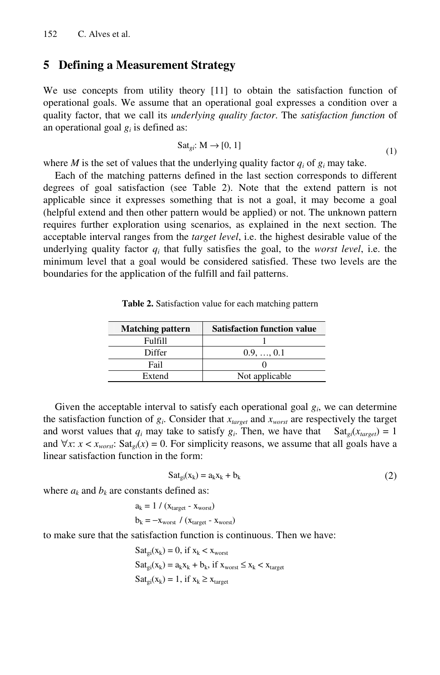#### **5 Defining a Measurement Strategy**

We use concepts from utility theory [11] to obtain the satisfaction function of operational goals. We assume that an operational goal expresses a condition over a quality factor, that we call its *underlying quality factor*. The *satisfaction function* of an operational goal *gi* is defined as:

$$
Sat_{gi}: M \to [0, 1]
$$
 (1)

where *M* is the set of values that the underlying quality factor  $q_i$  of  $g_i$  may take.

Each of the matching patterns defined in the last section corresponds to different degrees of goal satisfaction (see Table 2). Note that the extend pattern is not applicable since it expresses something that is not a goal, it may become a goal (helpful extend and then other pattern would be applied) or not. The unknown pattern requires further exploration using scenarios, as explained in the next section. The acceptable interval ranges from the *target level*, i.e. the highest desirable value of the underlying quality factor  $q_i$  that fully satisfies the goal, to the *worst level*, i.e. the minimum level that a goal would be considered satisfied. These two levels are the boundaries for the application of the fulfill and fail patterns.

| <b>Matching pattern</b> | <b>Satisfaction function value</b> |
|-------------------------|------------------------------------|
| <b>Fulfill</b>          |                                    |
| Differ                  | $0.9, \ldots, 0.1$                 |
| Fail                    |                                    |
| Extend                  | Not applicable                     |

**Table 2.** Satisfaction value for each matching pattern

Given the acceptable interval to satisfy each operational goal *gi*, we can determine the satisfaction function of  $g_i$ . Consider that  $x_{target}$  and  $x_{worst}$  are respectively the target and worst values that  $q_i$  may take to satisfy  $g_i$ . Then, we have that  $\text{Sat}_{\text{gl}}(\text{x}_{\text{target}}) = 1$ and  $\forall x: x < x_{worst}$ : Sat<sub>gi</sub> $(x) = 0$ . For simplicity reasons, we assume that all goals have a linear satisfaction function in the form:

$$
Sat_{gi}(x_k) = a_k x_k + b_k
$$
 (2)

where  $a_k$  and  $b_k$  are constants defined as:

$$
a_k = 1 / (x_{target} - x_{worst})
$$
  

$$
b_k = -x_{worst} / (x_{target} - x_{worst})
$$

to make sure that the satisfaction function is continuous. Then we have:

$$
Sat_{gi}(x_k) = 0, \text{ if } x_k < x_{worst}
$$
\n
$$
Sat_{gi}(x_k) = a_k x_k + b_k, \text{ if } x_{worst} \le x_k < x_{target}
$$
\n
$$
Sat_{gi}(x_k) = 1, \text{ if } x_k \ge x_{target}
$$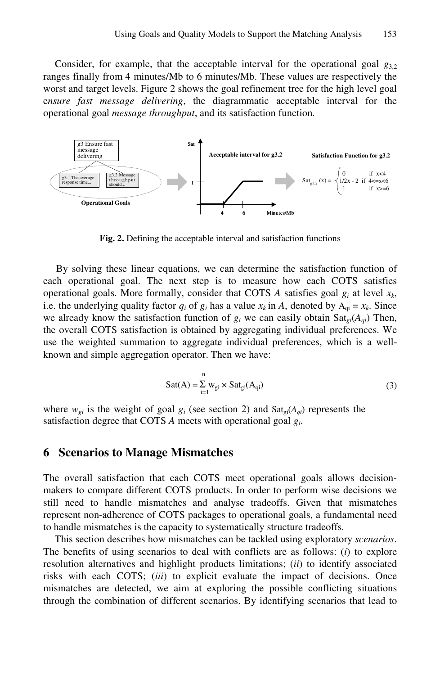Consider, for example, that the acceptable interval for the operational goal *g*3,2 ranges finally from 4 minutes/Mb to 6 minutes/Mb. These values are respectively the worst and target levels. Figure 2 shows the goal refinement tree for the high level goal e*nsure fast message delivering*, the diagrammatic acceptable interval for the operational goal *message throughput*, and its satisfaction function.



**Fig. 2.** Defining the acceptable interval and satisfaction functions

By solving these linear equations, we can determine the satisfaction function of each operational goal. The next step is to measure how each COTS satisfies operational goals. More formally, consider that COTS A satisfies goal  $g_i$  at level  $x_k$ , i.e. the underlying quality factor  $q_i$  of  $g_i$  has a value  $x_k$  in *A*, denoted by  $A_{qi} = x_k$ . Since we already know the satisfaction function of  $g_i$  we can easily obtain Sat<sub> $\varphi_i(A_{ai})$ </sub> Then, the overall COTS satisfaction is obtained by aggregating individual preferences. We use the weighted summation to aggregate individual preferences, which is a wellknown and simple aggregation operator. Then we have:

$$
Sat(A) = \sum_{i=1}^{n} w_{gi} \times Sat_{gi}(A_{qi})
$$
 (3)

where  $w_{gi}$  is the weight of goal  $g_i$  (see section 2) and  $Sat_{gi}(A_{qi})$  represents the satisfaction degree that COTS *A* meets with operational goal *gi*.

#### **6 Scenarios to Manage Mismatches**

The overall satisfaction that each COTS meet operational goals allows decisionmakers to compare different COTS products. In order to perform wise decisions we still need to handle mismatches and analyse tradeoffs. Given that mismatches represent non-adherence of COTS packages to operational goals, a fundamental need to handle mismatches is the capacity to systematically structure tradeoffs.

This section describes how mismatches can be tackled using exploratory *scenarios*. The benefits of using scenarios to deal with conflicts are as follows: (*i*) to explore resolution alternatives and highlight products limitations; (*ii*) to identify associated risks with each COTS; (*iii*) to explicit evaluate the impact of decisions. Once mismatches are detected, we aim at exploring the possible conflicting situations through the combination of different scenarios. By identifying scenarios that lead to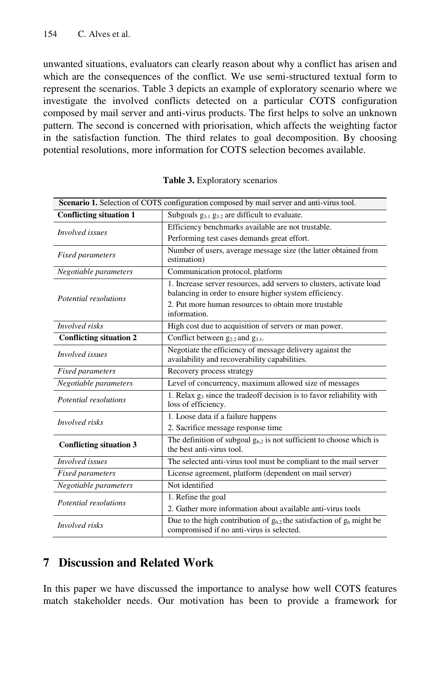unwanted situations, evaluators can clearly reason about why a conflict has arisen and which are the consequences of the conflict. We use semi-structured textual form to represent the scenarios. Table 3 depicts an example of exploratory scenario where we investigate the involved conflicts detected on a particular COTS configuration composed by mail server and anti-virus products. The first helps to solve an unknown pattern. The second is concerned with priorisation, which affects the weighting factor in the satisfaction function. The third relates to goal decomposition. By choosing potential resolutions, more information for COTS selection becomes available.

| Scenario 1. Selection of COTS configuration composed by mail server and anti-virus tool. |                                                                                                                                                                                                        |  |
|------------------------------------------------------------------------------------------|--------------------------------------------------------------------------------------------------------------------------------------------------------------------------------------------------------|--|
| <b>Conflicting situation 1</b>                                                           | Subgoals $g_{3.1} g_{3.2}$ are difficult to evaluate.                                                                                                                                                  |  |
| Involved issues                                                                          | Efficiency benchmarks available are not trustable.                                                                                                                                                     |  |
|                                                                                          | Performing test cases demands great effort.                                                                                                                                                            |  |
| <b>Fixed parameters</b>                                                                  | Number of users, average message size (the latter obtained from<br>estimation)                                                                                                                         |  |
| Negotiable parameters                                                                    | Communication protocol, platform                                                                                                                                                                       |  |
| Potential resolutions                                                                    | 1. Increase server resources, add servers to clusters, activate load<br>balancing in order to ensure higher system efficiency.<br>2. Put more human resources to obtain more trustable<br>information. |  |
| Involved risks                                                                           | High cost due to acquisition of servers or man power.                                                                                                                                                  |  |
| <b>Conflicting situation 2</b>                                                           | Conflict between $g_{2,2}$ and $g_{3,1}$ .                                                                                                                                                             |  |
| Involved issues                                                                          | Negotiate the efficiency of message delivery against the<br>availability and recoverability capabilities.                                                                                              |  |
| <b>Fixed parameters</b>                                                                  | Recovery process strategy                                                                                                                                                                              |  |
| Negotiable parameters                                                                    | Level of concurrency, maximum allowed size of messages                                                                                                                                                 |  |
| Potential resolutions                                                                    | 1. Relax $g_3$ since the tradeoff decision is to favor reliability with<br>loss of efficiency.                                                                                                         |  |
| Involved risks                                                                           | 1. Loose data if a failure happens                                                                                                                                                                     |  |
|                                                                                          | 2. Sacrifice message response time                                                                                                                                                                     |  |
| <b>Conflicting situation 3</b>                                                           | The definition of subgoal $g_{6,2}$ is not sufficient to choose which is<br>the best anti-virus tool.                                                                                                  |  |
| Involved issues                                                                          | The selected anti-virus tool must be compliant to the mail server                                                                                                                                      |  |
| <b>Fixed parameters</b>                                                                  | License agreement, platform (dependent on mail server)                                                                                                                                                 |  |
| Negotiable parameters                                                                    | Not identified                                                                                                                                                                                         |  |
| Potential resolutions                                                                    | 1. Refine the goal                                                                                                                                                                                     |  |
|                                                                                          | 2. Gather more information about available anti-virus tools                                                                                                                                            |  |
| Involved risks                                                                           | Due to the high contribution of $g_{6,2}$ the satisfaction of $g_6$ might be<br>compromised if no anti-virus is selected.                                                                              |  |

| <b>Table 3.</b> Exploratory scenarios |  |
|---------------------------------------|--|
|                                       |  |

# **7 Discussion and Related Work**

In this paper we have discussed the importance to analyse how well COTS features match stakeholder needs. Our motivation has been to provide a framework for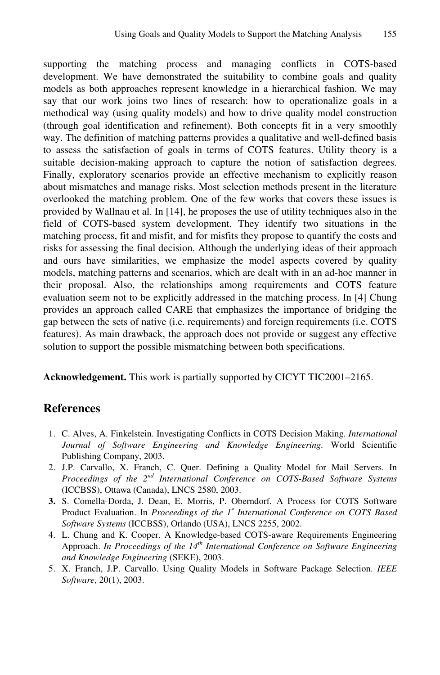supporting the matching process and managing conflicts in COTS-based development. We have demonstrated the suitability to combine goals and quality models as both approaches represent knowledge in a hierarchical fashion. We may say that our work joins two lines of research: how to operationalize goals in a methodical way (using quality models) and how to drive quality model construction (through goal identification and refinement). Both concepts fit in a very smoothly way. The definition of matching patterns provides a qualitative and well-defined basis to assess the satisfaction of goals in terms of COTS features. Utility theory is a suitable decision-making approach to capture the notion of satisfaction degrees. Finally, exploratory scenarios provide an effective mechanism to explicitly reason about mismatches and manage risks. Most selection methods present in the literature overlooked the matching problem. One of the few works that covers these issues is provided by Wallnau et al. In [14], he proposes the use of utility techniques also in the field of COTS-based system development. They identify two situations in the matching process, fit and misfit, and for misfits they propose to quantify the costs and risks for assessing the final decision. Although the underlying ideas of their approach and ours have similarities, we emphasize the model aspects covered by quality models, matching patterns and scenarios, which are dealt with in an ad-hoc manner in their proposal. Also, the relationships among requirements and COTS feature evaluation seem not to be explicitly addressed in the matching process. In [4] Chung provides an approach called CARE that emphasizes the importance of bridging the gap between the sets of native (i.e. requirements) and foreign requirements (i.e. COTS features). As main drawback, the approach does not provide or suggest any effective solution to support the possible mismatching between both specifications.

**Acknowledgement.** This work is partially supported by CICYT TIC2001–2165.

#### **References**

- 1. C. Alves, A. Finkelstein. Investigating Conflicts in COTS Decision Making. *International Journal of Software Engineering and Knowledge Engineering.* World Scientific Publishing Company, 2003.
- 2. J.P. Carvallo, X. Franch, C. Quer. Defining a Quality Model for Mail Servers. In *Proceedings of the 2nd International Conference on COTS-Based Software Systems* (ICCBSS), Ottawa (Canada), LNCS 2580, 2003.
- **3.** S. Comella-Dorda, J. Dean, E. Morris, P. Oberndorf. A Process for COTS Software Product Evaluation. In *Proceedings of the 1st International Conference on COTS Based Software Systems* (ICCBSS), Orlando (USA), LNCS 2255, 2002.
- 4. L. Chung and K. Cooper. A Knowledge-based COTS-aware Requirements Engineering Approach. *In Proceedings of the 14th International Conference on Software Engineering and Knowledge Engineering* (SEKE), 2003.
- 5. X. Franch, J.P. Carvallo. Using Quality Models in Software Package Selection. *IEEE Software*, 20(1), 2003.